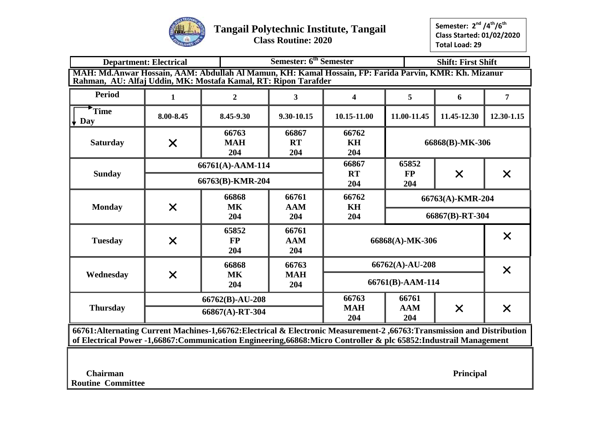

# **Tangail Polytechnic Institute, Tangail**

 **Class Routine: 2020**

**Semester: 2 nd /4th/6th Class Started: 01/02/2020 Total Load: 29**

|                                                                | Semester: 6 <sup>th</sup> Semester<br><b>Shift: First Shift</b><br><b>Department: Electrical</b><br>MAH: Md.Anwar Hossain, AAM: Abdullah Al Mamun, KH: Kamal Hossain, FP: Farida Parvin, KMR: Kh. Mizanur |                                      |                            |                           |                          |                  |                   |  |
|----------------------------------------------------------------|-----------------------------------------------------------------------------------------------------------------------------------------------------------------------------------------------------------|--------------------------------------|----------------------------|---------------------------|--------------------------|------------------|-------------------|--|
| Rahman, AU: Alfaj Uddin, MK: Mostafa Kamal, RT: Ripon Tarafder |                                                                                                                                                                                                           |                                      |                            |                           |                          |                  |                   |  |
| <b>Period</b>                                                  | $\mathbf{1}$                                                                                                                                                                                              | $\boldsymbol{2}$                     | $\mathbf{3}$               | 4                         | 5                        | 6                | 7                 |  |
| Time<br>Day                                                    | 8.00-8.45                                                                                                                                                                                                 | 8.45-9.30                            | 9.30-10.15                 | 10.15-11.00               | 11.00-11.45              | 11.45-12.30      | 12.30-1.15        |  |
| <b>Saturday</b>                                                | $\times$                                                                                                                                                                                                  | 66763<br><b>MAH</b><br>204           | 66867<br><b>RT</b><br>204  | 66762<br><b>KH</b><br>204 |                          | 66868(B)-MK-306  |                   |  |
| <b>Sunday</b>                                                  |                                                                                                                                                                                                           | 66761(A)-AAM-114<br>66763(B)-KMR-204 |                            | 66867<br><b>RT</b><br>204 | 65852<br>$\bf FP$<br>204 | $\times$         | $\times$          |  |
| <b>Monday</b>                                                  |                                                                                                                                                                                                           | 66868<br><b>MK</b>                   | 66761<br><b>AAM</b>        | 66762<br>KH               |                          | 66763(A)-KMR-204 |                   |  |
|                                                                | $\times$                                                                                                                                                                                                  | 204                                  | 204                        | 204                       |                          | 66867(B)-RT-304  |                   |  |
| <b>Tuesday</b>                                                 | $\times$                                                                                                                                                                                                  | 65852<br>$\bf FP$<br>204             | 66761<br><b>AAM</b><br>204 |                           | 66868(A)-MK-306          |                  | $\bm{\mathsf{X}}$ |  |
|                                                                |                                                                                                                                                                                                           | 66868                                | 66763                      |                           | 66762(A)-AU-208          |                  | $\times$          |  |
| Wednesday                                                      | $\times$                                                                                                                                                                                                  | <b>MK</b><br>204                     | <b>MAH</b><br>204          |                           | 66761(B)-AAM-114         |                  |                   |  |
|                                                                |                                                                                                                                                                                                           | 66762(B)-AU-208                      |                            | 66763                     | 66761                    |                  |                   |  |
| <b>Thursday</b>                                                |                                                                                                                                                                                                           | 66867(A)-RT-304                      |                            | <b>MAH</b><br>204         | <b>AAM</b><br>204        | $\times$         | $\times$          |  |

**66761:Alternating Current Machines-1,66762:Electrical & Electronic Measurement-2 ,66763:Transmission and Distribution of Electrical Power -1,66867:Communication Engineering,66868:Micro Controller & plc 65852:Industrail Management**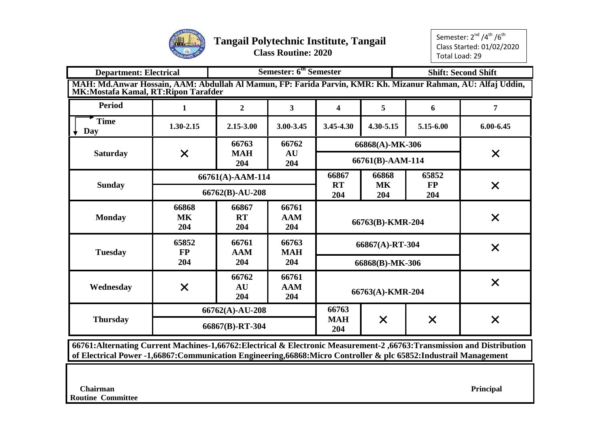

Semester: 2<sup>nd</sup> /4<sup>th</sup> /6<sup>th</sup> Class Started: 01/02/2020 Total Load: 29

| <b>Department: Electrical</b>                                                                                                                        |                                    | <b>Semester: 6th Semester</b> |                            | <b>Shift: Second Shift</b> |                  |                  |               |
|------------------------------------------------------------------------------------------------------------------------------------------------------|------------------------------------|-------------------------------|----------------------------|----------------------------|------------------|------------------|---------------|
| MAH: Md.Anwar Hossain, AAM: Abdullah Al Mamun, FP: Farida Parvin, KMR: Kh. Mizanur Rahman, AU: Alfaj Uddin,<br>MK: Mostafa Kamal, RT: Ripon Tarafder |                                    |                               |                            |                            |                  |                  |               |
| <b>Period</b>                                                                                                                                        | 1                                  | $\overline{2}$                | 3                          | 4                          | $\overline{5}$   | 6                | 7             |
| <b>Time</b><br>Day                                                                                                                                   | 1.30-2.15                          | 2.15-3.00                     | 3.00-3.45                  | $3.45 - 4.30$              | 4.30-5.15        | 5.15-6.00        | $6.00 - 6.45$ |
|                                                                                                                                                      |                                    | 66763                         | 66762                      |                            | 66868(A)-MK-306  |                  |               |
| <b>Saturday</b>                                                                                                                                      | $\times$                           | <b>MAH</b><br>204             | AU<br>204                  |                            | 66761(B)-AAM-114 |                  | $\times$      |
|                                                                                                                                                      |                                    | 66761(A)-AAM-114              |                            | 66867                      | 66868            | 65852            |               |
| <b>Sunday</b>                                                                                                                                        |                                    | 66762(B)-AU-208               |                            | <b>RT</b><br>204           | <b>MK</b><br>204 | <b>FP</b><br>204 | $\times$      |
| <b>Monday</b>                                                                                                                                        | 66868<br><b>MK</b><br>204          | 66867<br><b>RT</b><br>204     | 66761<br><b>AAM</b><br>204 |                            | 66763(B)-KMR-204 |                  | $\times$      |
| <b>Tuesday</b>                                                                                                                                       | 65852<br><b>FP</b>                 | 66761<br><b>AAM</b>           | 66763<br><b>MAH</b>        |                            | 66867(A)-RT-304  |                  | $\times$      |
|                                                                                                                                                      | 204                                | 204                           | 204                        |                            | 66868(B)-MK-306  |                  |               |
| Wednesday                                                                                                                                            | $\times$                           | 66762<br>AU<br>204            | 66761<br><b>AAM</b><br>204 |                            | 66763(A)-KMR-204 |                  | $\times$      |
| <b>Thursday</b>                                                                                                                                      | 66762(A)-AU-208<br>66867(B)-RT-304 |                               | 66763<br><b>MAH</b><br>204 | $\times$                   | $\times$         | $\times$         |               |

**66761:Alternating Current Machines-1,66762:Electrical & Electronic Measurement-2 ,66763:Transmission and Distribution of Electrical Power -1,66867:Communication Engineering,66868:Micro Controller & plc 65852:Industrail Management**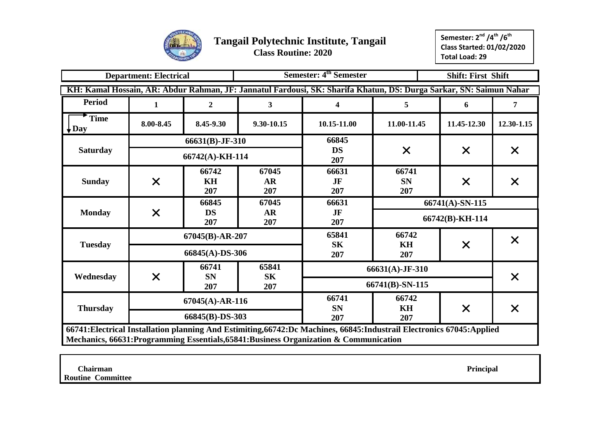

|                                 | <b>Department: Electrical</b> |                    |                           | Semester: 4 <sup>th</sup> Semester                                                                                                                                                                                 |                           | <b>Shift: First Shift</b> |            |  |  |  |
|---------------------------------|-------------------------------|--------------------|---------------------------|--------------------------------------------------------------------------------------------------------------------------------------------------------------------------------------------------------------------|---------------------------|---------------------------|------------|--|--|--|
|                                 |                               |                    |                           | KH: Kamal Hossain, AR: Abdur Rahman, JF: Jannatul Fardousi, SK: Sharifa Khatun, DS: Durga Sarkar, SN: Saimun Nahar                                                                                                 |                           |                           |            |  |  |  |
| <b>Period</b>                   | 1                             | $\boldsymbol{2}$   | $\mathbf{3}$              | 4                                                                                                                                                                                                                  | 5                         | 6                         | 7          |  |  |  |
| <b>Time</b><br>$\downarrow$ Day | 8.00-8.45                     | 8.45-9.30          | 9.30-10.15                | 10.15-11.00                                                                                                                                                                                                        | 11.00-11.45               | 11.45-12.30               | 12.30-1.15 |  |  |  |
|                                 |                               | 66631(B)-JF-310    |                           | 66845                                                                                                                                                                                                              |                           |                           |            |  |  |  |
| <b>Saturday</b>                 |                               | 66742(A)-KH-114    |                           | <b>DS</b><br>207                                                                                                                                                                                                   | $\times$                  | $\times$                  | $\times$   |  |  |  |
| <b>Sunday</b>                   | $\times$                      | 66742<br>KH<br>207 | 67045<br><b>AR</b><br>207 | 66631<br>JF<br>207                                                                                                                                                                                                 | 66741<br><b>SN</b><br>207 | $\times$                  | $\times$   |  |  |  |
|                                 |                               | 66845              | 67045                     | 66631                                                                                                                                                                                                              |                           | 66741(A)-SN-115           |            |  |  |  |
| <b>Monday</b>                   | $\times$                      | <b>DS</b><br>207   | <b>AR</b><br>207          | JF<br>207                                                                                                                                                                                                          |                           | 66742(B)-KH-114           |            |  |  |  |
|                                 |                               | $67045(B)$ -AR-207 |                           | 65841                                                                                                                                                                                                              | 66742                     |                           | $\times$   |  |  |  |
| <b>Tuesday</b>                  |                               | 66845(A)-DS-306    |                           | <b>SK</b><br>207                                                                                                                                                                                                   | KH<br>207                 | $\times$                  |            |  |  |  |
|                                 |                               | 66741              | 65841                     |                                                                                                                                                                                                                    | 66631(A)-JF-310           |                           |            |  |  |  |
| Wednesday                       | $\times$                      | <b>SN</b><br>207   | <b>SK</b><br>207          |                                                                                                                                                                                                                    | 66741(B)-SN-115           |                           | $\times$   |  |  |  |
|                                 |                               | $67045(A)$ -AR-116 |                           | 66741                                                                                                                                                                                                              | 66742                     |                           |            |  |  |  |
| <b>Thursday</b>                 |                               | 66845(B)-DS-303    |                           | <b>SN</b><br>207                                                                                                                                                                                                   | KH<br>207                 | $\times$                  | $\times$   |  |  |  |
|                                 |                               |                    |                           | 66741: Electrical Installation planning And Estimiting, 66742: Dc Machines, 66845: Industrail Electronics 67045: Applied<br>Mechanics, 66631: Programming Essentials, 65841: Business Organization & Communication |                           |                           |            |  |  |  |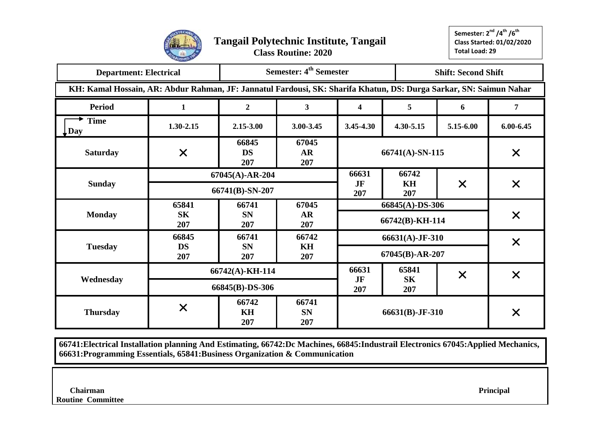

| <b>Department: Electrical</b>                                                                                      |                  |                                       | Semester: 4 <sup>th</sup> Semester |                 |                        | <b>Shift: Second Shift</b> |                   |
|--------------------------------------------------------------------------------------------------------------------|------------------|---------------------------------------|------------------------------------|-----------------|------------------------|----------------------------|-------------------|
| KH: Kamal Hossain, AR: Abdur Rahman, JF: Jannatul Fardousi, SK: Sharifa Khatun, DS: Durga Sarkar, SN: Saimun Nahar |                  |                                       |                                    |                 |                        |                            |                   |
| <b>Period</b>                                                                                                      | 1                | $\overline{2}$                        | $\mathbf{3}$                       | 4               | 5                      | 6                          | $\overline{7}$    |
| <b>Time</b><br>$\downarrow$ Day                                                                                    | $1.30 - 2.15$    | 2.15-3.00                             | 3.00-3.45                          | 3.45-4.30       | 4.30-5.15              | 5.15-6.00                  | $6.00 - 6.45$     |
| <b>Saturday</b>                                                                                                    | $\times$         | 66845<br><b>DS</b><br>207             | 67045<br><b>AR</b><br>207          |                 | $66741(A)$ -SN-115     |                            | $\times$          |
| <b>Sunday</b>                                                                                                      |                  | $67045(A)$ -AR-204<br>66741(B)-SN-207 |                                    | 66631<br>JF     | 66742<br>KH            | $\times$                   | $\times$          |
|                                                                                                                    | 65841            | 66741                                 | 67045                              | 207             | 207<br>66845(A)-DS-306 |                            |                   |
| <b>Monday</b>                                                                                                      | <b>SK</b><br>207 | <b>SN</b><br>207                      | AR<br>207                          |                 | 66742(B)-KH-114        |                            | $\times$          |
|                                                                                                                    | 66845            | 66741                                 | 66742                              |                 | 66631(A)-JF-310        |                            | $\bm{\mathsf{X}}$ |
| <b>Tuesday</b>                                                                                                     | <b>DS</b><br>207 | <b>SN</b><br>207                      | KH<br>207                          |                 | 67045(B)-AR-207        |                            |                   |
|                                                                                                                    |                  | 66742(A)-KH-114                       |                                    | 66631           | 65841                  | $\times$                   | $\times$          |
| Wednesday                                                                                                          |                  | 66845(B)-DS-306                       |                                    | JF<br>207       | <b>SK</b><br>207       |                            |                   |
| <b>Thursday</b>                                                                                                    | $\bm{\times}$    | 66742<br>KH<br>207                    | 66741<br><b>SN</b><br>207          | 66631(B)-JF-310 |                        |                            | $\bm{\times}$     |

**66741:Electrical Installation planning And Estimating, 66742:Dc Machines, 66845:Industrail Electronics 67045:Applied Mechanics, 66631:Programming Essentials, 65841:Business Organization & Communication**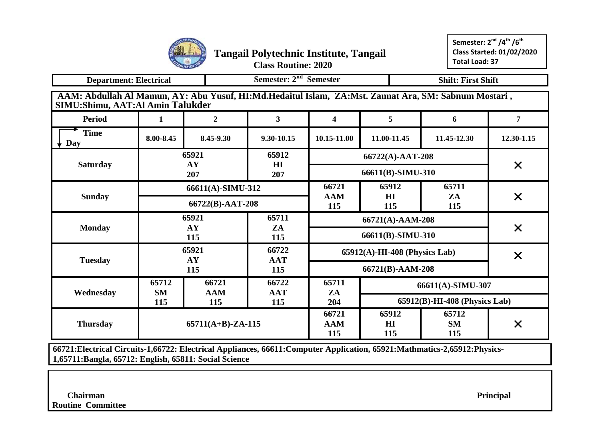

| <b>Department: Electrical</b>                                                                                                            |                    |                      |                     | Semester: 2 <sup>nd</sup> Semester<br><b>Shift: First Shift</b> |                                  |                               |                |  |  |  |
|------------------------------------------------------------------------------------------------------------------------------------------|--------------------|----------------------|---------------------|-----------------------------------------------------------------|----------------------------------|-------------------------------|----------------|--|--|--|
| AAM: Abdullah Al Mamun, AY: Abu Yusuf, HI:Md.Hedaitul Islam, ZA:Mst. Zannat Ara, SM: Sabnum Mostari,<br>SIMU:Shimu, AAT:Al Amin Talukder |                    |                      |                     |                                                                 |                                  |                               |                |  |  |  |
| <b>Period</b>                                                                                                                            | 1                  | $\overline{2}$       | $\mathbf{3}$        | $\overline{\mathbf{4}}$                                         | 5                                | 6                             | $\overline{7}$ |  |  |  |
| <b>Time</b><br>Day                                                                                                                       | 8.00-8.45          | 8.45-9.30            | 9.30-10.15          | 10.15-11.00                                                     | 11.00-11.45                      | 11.45-12.30                   | 12.30-1.15     |  |  |  |
|                                                                                                                                          |                    | 65921                | 65912               |                                                                 | 66722(A)-AAT-208                 |                               |                |  |  |  |
| <b>Saturday</b>                                                                                                                          |                    | AY<br>207            | H I<br>207          |                                                                 | 66611(B)-SIMU-310                |                               | $\times$       |  |  |  |
|                                                                                                                                          |                    | 66611(A)-SIMU-312    |                     | 66721                                                           | 65912                            | 65711                         |                |  |  |  |
| <b>Sunday</b>                                                                                                                            |                    | 66722(B)-AAT-208     |                     | <b>AAM</b><br>115                                               | H I<br>115                       | ZA<br>115                     | $\times$       |  |  |  |
|                                                                                                                                          |                    | 65921                | 65711               |                                                                 | 66721(A)-AAM-208                 |                               |                |  |  |  |
| <b>Monday</b>                                                                                                                            |                    | AY<br>115            | ZA<br>115           |                                                                 | 66611(B)-SIMU-310                |                               | $\times$       |  |  |  |
|                                                                                                                                          |                    | 65921                | 66722               |                                                                 | $65912(A)$ -HI-408 (Physics Lab) |                               | $\times$       |  |  |  |
| <b>Tuesday</b>                                                                                                                           |                    | AY<br>115            | <b>AAT</b><br>115   |                                                                 | 66721(B)-AAM-208                 |                               |                |  |  |  |
|                                                                                                                                          | 65712<br><b>SM</b> | 66721<br><b>AAM</b>  | 66722<br><b>AAT</b> | 65711<br>ZA                                                     |                                  | 66611(A)-SIMU-307             |                |  |  |  |
| Wednesday                                                                                                                                | 115                | 115                  | 115                 | 204                                                             |                                  | 65912(B)-HI-408 (Physics Lab) |                |  |  |  |
| <b>Thursday</b>                                                                                                                          |                    | $65711(A+B)$ -ZA-115 |                     | 66721<br><b>AAM</b><br>115                                      | 65912<br>H1<br>115               | 65712<br><b>SM</b><br>115     | $\bm{\times}$  |  |  |  |

**66721:Electrical Circuits-1,66722: Electrical Appliances, 66611:Computer Application, 65921:Mathmatics-2,65912:Physics-1,65711:Bangla, 65712: English, 65811: Social Science**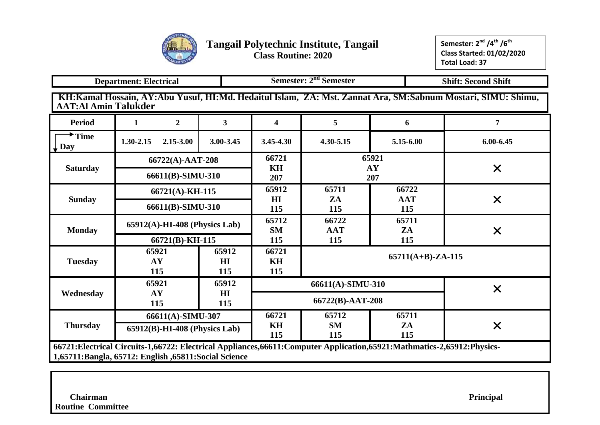

|                                                                                        | Semester: 2 <sup>nd</sup> Semester<br><b>Department: Electrical</b><br><b>Shift: Second Shift</b>                                                                                     |                                  |                                |  |                         |                                    |           |                      |                                                                                                             |  |  |  |  |
|----------------------------------------------------------------------------------------|---------------------------------------------------------------------------------------------------------------------------------------------------------------------------------------|----------------------------------|--------------------------------|--|-------------------------|------------------------------------|-----------|----------------------|-------------------------------------------------------------------------------------------------------------|--|--|--|--|
| <b>AAT:Al Amin Talukder</b>                                                            |                                                                                                                                                                                       |                                  |                                |  |                         |                                    |           |                      | KH:Kamal Hossain, AY:Abu Yusuf, HI:Md. Hedaitul Islam, ZA: Mst. Zannat Ara, SM:Sabnum Mostari, SIMU: Shimu, |  |  |  |  |
| <b>Period</b>                                                                          | 1                                                                                                                                                                                     | $\overline{2}$                   | 3 <sup>1</sup>                 |  | $\overline{\mathbf{4}}$ | 5                                  |           | 6                    | 7                                                                                                           |  |  |  |  |
| $\blacktriangleright$ Time<br>$\downarrow$ Day                                         | 1.30-2.15                                                                                                                                                                             | $2.15 - 3.00$                    | 3.00-3.45                      |  | 3.45-4.30               | $4.30 - 5.15$                      |           | 5.15-6.00            | $6.00 - 6.45$                                                                                               |  |  |  |  |
|                                                                                        |                                                                                                                                                                                       | 66722(A)-AAT-208                 |                                |  | 66721                   |                                    | 65921     |                      |                                                                                                             |  |  |  |  |
| <b>Saturday</b>                                                                        |                                                                                                                                                                                       | 66611(B)-SIMU-310                |                                |  | <b>KH</b><br>207        |                                    | AY<br>207 |                      | $\times$                                                                                                    |  |  |  |  |
| 65912<br>65711<br>66722<br>66721(A)-KH-115<br>H I<br><b>Sunday</b><br>ZA<br><b>AAT</b> |                                                                                                                                                                                       |                                  |                                |  |                         |                                    |           |                      |                                                                                                             |  |  |  |  |
|                                                                                        |                                                                                                                                                                                       | 66611(B)-SIMU-310                |                                |  | 115                     | 115                                |           | 115                  | $\times$                                                                                                    |  |  |  |  |
|                                                                                        |                                                                                                                                                                                       | $65912(A)$ -HI-408 (Physics Lab) |                                |  | 65712                   | 66722                              |           | 65711                |                                                                                                             |  |  |  |  |
| <b>Monday</b>                                                                          |                                                                                                                                                                                       | 66721(B)-KH-115                  |                                |  | <b>SM</b><br>115        | <b>AAT</b><br>115                  |           | ZA<br>115            | $\times$                                                                                                    |  |  |  |  |
| <b>Tuesday</b>                                                                         | AY<br>115                                                                                                                                                                             | 65921                            | 65912<br>H <sub>I</sub><br>115 |  | 66721<br>KH<br>115      |                                    |           | $65711(A+B)$ -ZA-115 |                                                                                                             |  |  |  |  |
|                                                                                        |                                                                                                                                                                                       | 65921                            | 65912                          |  |                         | 66611(A)-SIMU-310                  |           |                      |                                                                                                             |  |  |  |  |
| Wednesday                                                                              | AY<br>115                                                                                                                                                                             |                                  | H I<br>115                     |  |                         | 66722(B)-AAT-208                   |           | $\times$             |                                                                                                             |  |  |  |  |
|                                                                                        |                                                                                                                                                                                       | 66611(A)-SIMU-307                |                                |  | 66721                   | 65712                              |           | 65711                |                                                                                                             |  |  |  |  |
| <b>Thursday</b>                                                                        |                                                                                                                                                                                       | $65912(B)$ -HI-408 (Physics Lab) |                                |  | KH<br>115               | <b>SM</b><br>ZA<br>X<br>115<br>115 |           |                      |                                                                                                             |  |  |  |  |
|                                                                                        | 66721: Electrical Circuits-1,66722: Electrical Appliances, 66611: Computer Application, 65921: Mathmatics-2,65912: Physics-<br>1,65711: Bangla, 65712: English, 65811: Social Science |                                  |                                |  |                         |                                    |           |                      |                                                                                                             |  |  |  |  |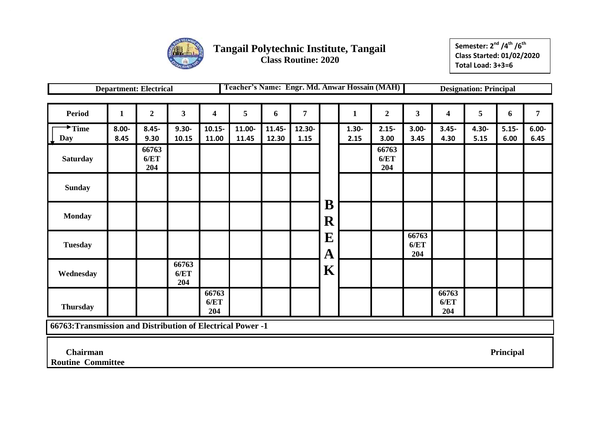

**Semester: 2 nd /4th /6th Class Started: 01/02/2020 Total Load: 3+3=6**

|                                                             |                  | <b>Department: Electrical</b> |                      |                      |                 |                 |                |                  |                  | Teacher's Name: Engr. Md. Anwar Hossain (MAH) |                      |                      | <b>Designation: Principal</b> |                  |                  |
|-------------------------------------------------------------|------------------|-------------------------------|----------------------|----------------------|-----------------|-----------------|----------------|------------------|------------------|-----------------------------------------------|----------------------|----------------------|-------------------------------|------------------|------------------|
|                                                             |                  |                               |                      |                      |                 |                 |                |                  |                  |                                               |                      |                      |                               |                  |                  |
| <b>Period</b>                                               | $\mathbf{1}$     | $\boldsymbol{2}$              | $\mathbf{3}$         | 4                    | 5               | 6               | 7              |                  | 1                | $\boldsymbol{2}$                              | 3 <sup>1</sup>       | 4                    | 5                             | 6                | $\overline{7}$   |
| $^{\bigstar}$ Time<br>Day                                   | $8.00 -$<br>8.45 | $8.45 -$<br>9.30              | $9.30 -$<br>10.15    | $10.15 -$<br>11.00   | 11.00-<br>11.45 | 11.45-<br>12.30 | 12.30-<br>1.15 |                  | $1.30 -$<br>2.15 | $2.15 -$<br>3.00                              | $3.00 -$<br>3.45     | $3.45 -$<br>4.30     | $4.30 -$<br>5.15              | $5.15 -$<br>6.00 | $6.00 -$<br>6.45 |
| <b>Saturday</b>                                             |                  | 66763<br>6/ET<br>204          |                      |                      |                 |                 |                |                  |                  | 66763<br>6/ET<br>204                          |                      |                      |                               |                  |                  |
| <b>Sunday</b>                                               |                  |                               |                      |                      |                 |                 |                |                  |                  |                                               |                      |                      |                               |                  |                  |
| <b>Monday</b>                                               |                  |                               |                      |                      |                 |                 |                | B<br>$\mathbf R$ |                  |                                               |                      |                      |                               |                  |                  |
| <b>Tuesday</b>                                              |                  |                               |                      |                      |                 |                 |                | E<br>$\mathbf A$ |                  |                                               | 66763<br>6/ET<br>204 |                      |                               |                  |                  |
| Wednesday                                                   |                  |                               | 66763<br>6/ET<br>204 |                      |                 |                 |                | $\mathbf K$      |                  |                                               |                      |                      |                               |                  |                  |
| <b>Thursday</b>                                             |                  |                               |                      | 66763<br>6/ET<br>204 |                 |                 |                |                  |                  |                                               |                      | 66763<br>6/ET<br>204 |                               |                  |                  |
| 66763: Transmission and Distribution of Electrical Power -1 |                  |                               |                      |                      |                 |                 |                |                  |                  |                                               |                      |                      |                               |                  |                  |

 **Chairman Principal**

**Routine Committee**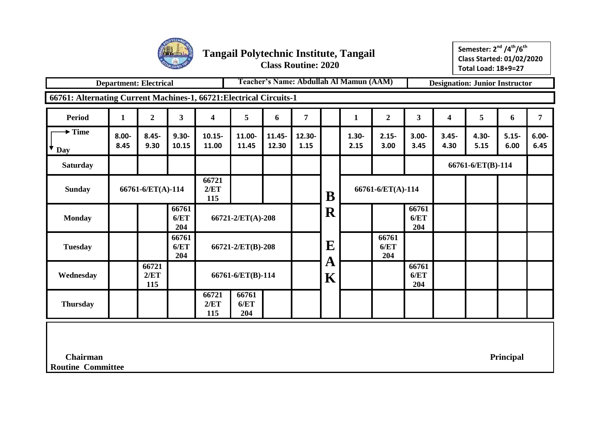

**Semester: 2 nd /4th/6th Class Started: 01/02/2020 Total Load: 18+9=27**

|                                                                     | <b>Department: Electrical</b> |                      |                      |                                              | Teacher's Name: Abdullah Al Mamun (AAM)<br><b>Designation: Junior Instructor</b> |                 |                |                  |                  |                      |                      |                  |                   |                  |                  |
|---------------------------------------------------------------------|-------------------------------|----------------------|----------------------|----------------------------------------------|----------------------------------------------------------------------------------|-----------------|----------------|------------------|------------------|----------------------|----------------------|------------------|-------------------|------------------|------------------|
| 66761: Alternating Current Machines-1, 66721: Electrical Circuits-1 |                               |                      |                      |                                              |                                                                                  |                 |                |                  |                  |                      |                      |                  |                   |                  |                  |
| <b>Period</b>                                                       | $\mathbf{1}$                  | $\overline{2}$       | 3                    | 4                                            | 5                                                                                | 6               | 7              |                  | $\mathbf{1}$     | $\boldsymbol{2}$     | 3 <sup>1</sup>       | 4                | 5                 | 6                | 7                |
| $\blacktriangleright$ Time<br>◆<br>Day                              | $8.00 -$<br>8.45              | $8.45 -$<br>9.30     | $9.30 -$<br>10.15    | 10.15-<br>11.00                              | 11.00-<br>11.45                                                                  | 11.45-<br>12.30 | 12.30-<br>1.15 |                  | $1.30 -$<br>2.15 | $2.15 -$<br>3.00     | $3.00 -$<br>3.45     | $3.45 -$<br>4.30 | 4.30-<br>5.15     | $5.15 -$<br>6.00 | $6.00 -$<br>6.45 |
| <b>Saturday</b>                                                     |                               |                      |                      |                                              |                                                                                  |                 |                |                  |                  |                      |                      |                  | 66761-6/ET(B)-114 |                  |                  |
| <b>Sunday</b>                                                       |                               | 66761-6/ET(A)-114    |                      | 66721<br>2/ET<br>115                         |                                                                                  |                 |                | B                |                  | 66761-6/ET(A)-114    |                      |                  |                   |                  |                  |
| <b>Monday</b>                                                       |                               |                      | 66761<br>6/ET<br>204 |                                              | 66721-2/ET(A)-208                                                                |                 |                | ${\bf R}$        |                  |                      | 66761<br>6/ET<br>204 |                  |                   |                  |                  |
| <b>Tuesday</b>                                                      |                               |                      | 66761<br>6/ET<br>204 |                                              | 66721-2/ET(B)-208                                                                |                 |                | ${\bf E}$        |                  | 66761<br>6/ET<br>204 |                      |                  |                   |                  |                  |
| Wednesday                                                           |                               | 66721<br>2/ET<br>115 |                      | 66761-6/ET(B)-114                            |                                                                                  |                 |                | A<br>$\mathbf K$ |                  |                      | 66761<br>6/ET<br>204 |                  |                   |                  |                  |
| <b>Thursday</b>                                                     |                               |                      |                      | 66761<br>66721<br>6/ET<br>2/ET<br>115<br>204 |                                                                                  |                 |                |                  |                  |                      |                      |                  |                   |                  |                  |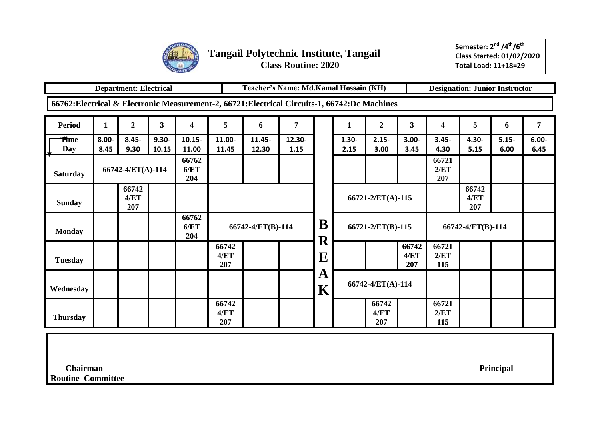

**Semester: 2 nd /4th/6th Class Started: 01/02/2020 Total Load: 11+18=29**

|                                                                                                |                  | <b>Department: Electrical</b> |                   |                      |                      | Teacher's Name: Md.Kamal Hossain (KH)<br><b>Designation: Junior Instructor</b> |                |           |                  |                      |                      |                      |                      |                  |                  |
|------------------------------------------------------------------------------------------------|------------------|-------------------------------|-------------------|----------------------|----------------------|--------------------------------------------------------------------------------|----------------|-----------|------------------|----------------------|----------------------|----------------------|----------------------|------------------|------------------|
| 66762: Electrical & Electronic Measurement-2, 66721: Electrical Circuits-1, 66742: Dc Machines |                  |                               |                   |                      |                      |                                                                                |                |           |                  |                      |                      |                      |                      |                  |                  |
| <b>Period</b>                                                                                  | 1                | $\overline{2}$                | 3                 | 4                    | 5                    | 6                                                                              | 7              |           | 1                | $\boldsymbol{2}$     | $\mathbf{3}$         | 4                    | 5                    | 6                | 7                |
| <b>Time</b><br>Day                                                                             | $8.00 -$<br>8.45 | $8.45 -$<br>9.30              | $9.30 -$<br>10.15 | $10.15 -$<br>11.00   | 11.00-<br>11.45      | $11.45 -$<br>12.30                                                             | 12.30-<br>1.15 |           | $1.30 -$<br>2.15 | $2.15 -$<br>3.00     | $3.00 -$<br>3.45     | $3.45 -$<br>4.30     | 4.30-<br>5.15        | $5.15 -$<br>6.00 | $6.00 -$<br>6.45 |
| <b>Saturday</b>                                                                                |                  | 66742-4/ET(A)-114             |                   | 66762<br>6/ET<br>204 |                      |                                                                                |                |           |                  |                      |                      | 66721<br>2/ET<br>207 |                      |                  |                  |
| <b>Sunday</b>                                                                                  |                  | 66742<br>4/ET<br>207          |                   |                      |                      |                                                                                |                |           |                  | 66721-2/ET(A)-115    |                      |                      | 66742<br>4/ET<br>207 |                  |                  |
| <b>Monday</b>                                                                                  |                  |                               |                   | 66762<br>6/ET<br>204 |                      | 66742-4/ET(B)-114                                                              |                | B<br>R    |                  | 66721-2/ET(B)-115    |                      |                      | 66742-4/ET(B)-114    |                  |                  |
| <b>Tuesday</b>                                                                                 |                  |                               |                   |                      | 66742<br>4/ET<br>207 |                                                                                |                | ${\bf E}$ |                  |                      | 66742<br>4/ET<br>207 | 66721<br>2/ET<br>115 |                      |                  |                  |
| Wednesday                                                                                      |                  |                               |                   |                      |                      |                                                                                |                | A<br>K    |                  | 66742-4/ET(A)-114    |                      |                      |                      |                  |                  |
| <b>Thursday</b>                                                                                |                  |                               |                   |                      | 66742<br>4/ET<br>207 |                                                                                |                |           |                  | 66742<br>4/ET<br>207 |                      | 66721<br>2/ET<br>115 |                      |                  |                  |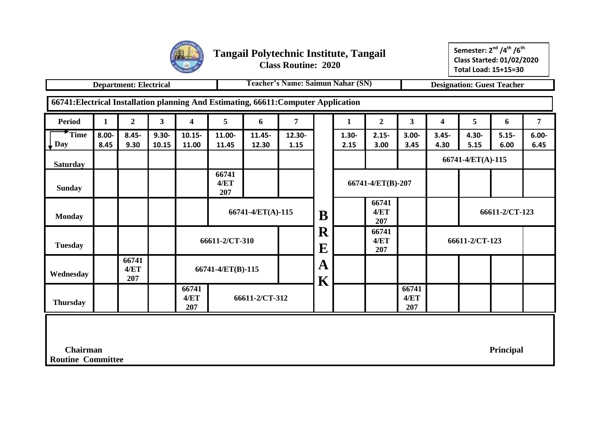

**Semester: 2 nd /4th /6th Class Started: 01/02/2020 Total Load: 15+15=30**

|                                                                                     |                                                          | <b>Department: Electrical</b> |                         |                         |                      |                    | Teacher's Name: Saimun Nahar (SN) |                              |                  |                      |                         |                         |                   | <b>Designation: Guest Teacher</b> |                  |
|-------------------------------------------------------------------------------------|----------------------------------------------------------|-------------------------------|-------------------------|-------------------------|----------------------|--------------------|-----------------------------------|------------------------------|------------------|----------------------|-------------------------|-------------------------|-------------------|-----------------------------------|------------------|
| 66741: Electrical Installation planning And Estimating, 66611: Computer Application |                                                          |                               |                         |                         |                      |                    |                                   |                              |                  |                      |                         |                         |                   |                                   |                  |
| <b>Period</b>                                                                       | $\mathbf{1}$                                             | $\overline{2}$                | $\overline{\mathbf{3}}$ | $\overline{\mathbf{4}}$ | 5                    | 6                  | $\overline{7}$                    |                              | $\mathbf{1}$     | $\overline{2}$       | $\overline{\mathbf{3}}$ | $\overline{\mathbf{4}}$ | 5                 | 6                                 | $\overline{7}$   |
| Time<br><b>Day</b>                                                                  | $8.00 -$<br>8.45                                         | $8.45 -$<br>9.30              | $9.30 -$<br>10.15       | $10.15 -$<br>11.00      | 11.00-<br>11.45      | $11.45 -$<br>12.30 | 12.30-<br>1.15                    |                              | $1.30 -$<br>2.15 | $2.15 -$<br>3.00     | $3.00 -$<br>3.45        | $3.45 -$<br>4.30        | 4.30-<br>5.15     | $5.15 -$<br>6.00                  | $6.00 -$<br>6.45 |
| <b>Saturday</b>                                                                     |                                                          |                               |                         |                         |                      |                    |                                   |                              |                  |                      |                         |                         | 66741-4/ET(A)-115 |                                   |                  |
| <b>Sunday</b>                                                                       |                                                          |                               |                         |                         | 66741<br>4/ET<br>207 |                    |                                   |                              |                  | 66741-4/ET(B)-207    |                         |                         |                   |                                   |                  |
| <b>Monday</b>                                                                       |                                                          |                               |                         |                         |                      | 66741-4/ET(A)-115  |                                   | B                            |                  | 66741<br>4/ET<br>207 |                         |                         |                   | 66611-2/CT-123                    |                  |
| <b>Tuesday</b>                                                                      |                                                          |                               |                         |                         | 66611-2/CT-310       |                    |                                   | ${\bf R}$<br>E               |                  | 66741<br>4/ET<br>207 |                         |                         | 66611-2/CT-123    |                                   |                  |
| Wednesday                                                                           |                                                          | 66741<br>4/ET<br>207          |                         |                         | 66741-4/ET(B)-115    |                    |                                   | A<br>$\overline{\textbf{K}}$ |                  |                      |                         |                         |                   |                                   |                  |
| <b>Thursday</b>                                                                     |                                                          |                               |                         | 66741<br>4/ET<br>207    |                      | 66611-2/CT-312     |                                   |                              |                  |                      | 66741<br>4/ET<br>207    |                         |                   |                                   |                  |
|                                                                                     |                                                          |                               |                         |                         |                      |                    |                                   |                              |                  |                      |                         |                         |                   |                                   |                  |
|                                                                                     | <b>Chairman</b><br>Principal<br><b>Routine Committee</b> |                               |                         |                         |                      |                    |                                   |                              |                  |                      |                         |                         |                   |                                   |                  |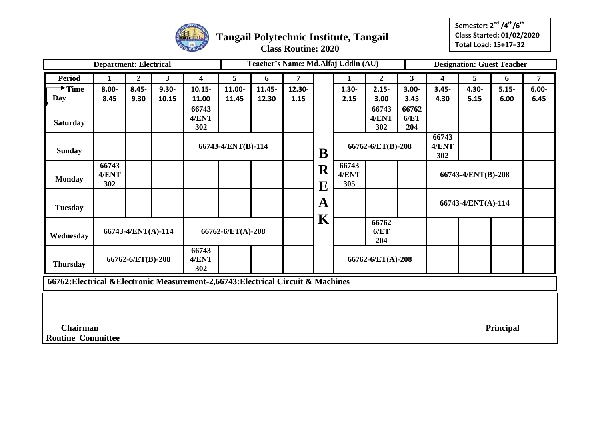

**Semester: 2 nd /4th/6th Class Started: 01/02/2020 Total Load: 15+17=32**

|                                                                                   | <b>Department: Electrical</b> |                    |              |                       |                    |                                                       |                |             | Teacher's Name: Md.Alfaj Uddin (AU) |                       |                      |                         |          | <b>Designation: Guest Teacher</b> |                |
|-----------------------------------------------------------------------------------|-------------------------------|--------------------|--------------|-----------------------|--------------------|-------------------------------------------------------|----------------|-------------|-------------------------------------|-----------------------|----------------------|-------------------------|----------|-----------------------------------|----------------|
| <b>Period</b>                                                                     | $\mathbf{1}$                  | $\overline{2}$     | $\mathbf{3}$ | 4                     | 5                  | 6                                                     | $\overline{7}$ |             | 1                                   | $\overline{2}$        | 3 <sup>1</sup>       | $\overline{\mathbf{4}}$ | 5        | 6                                 | $\overline{7}$ |
| $\rightarrow$ Time                                                                | $8.00 -$                      | $8.45 -$           | $9.30 -$     | $10.15 -$             | 11.00-             | 11.45-                                                | 12.30-         |             | $1.30 -$                            | $2.15 -$              | $3.00 -$             | $3.45 -$                | $4.30 -$ | $5.15 -$                          | $6.00 -$       |
| Day                                                                               | 8.45                          | 9.30               | 10.15        | 11.00                 | 11.45              | 12.30                                                 | 1.15           |             | 2.15                                | 3.00                  | 3.45                 | 4.30                    | 5.15     | 6.00                              | 6.45           |
| <b>Saturday</b>                                                                   |                               |                    |              | 66743<br>4/ENT<br>302 |                    |                                                       |                |             |                                     | 66743<br>4/ENT<br>302 | 66762<br>6/ET<br>204 |                         |          |                                   |                |
| <b>Sunday</b>                                                                     |                               |                    |              |                       | 66743-4/ENT(B)-114 |                                                       |                | B           |                                     | 66762-6/ET(B)-208     |                      | 66743<br>4/ENT<br>302   |          |                                   |                |
| <b>Monday</b>                                                                     | 66743<br>4/ENT<br>302         |                    |              |                       |                    | 66743<br>R<br>4/ENT<br>66743-4/ENT(B)-208<br>305<br>E |                |             |                                     |                       |                      |                         |          |                                   |                |
| <b>Tuesday</b>                                                                    |                               |                    |              |                       |                    |                                                       |                | ${\bf A}$   | 66743-4/ENT(A)-114                  |                       |                      |                         |          |                                   |                |
| Wednesday                                                                         |                               | 66743-4/ENT(A)-114 |              |                       | 66762-6/ET(A)-208  |                                                       |                | $\mathbf K$ |                                     | 66762<br>6/ET<br>204  |                      |                         |          |                                   |                |
| <b>Thursday</b>                                                                   |                               | 66762-6/ET(B)-208  |              | 66743<br>4/ENT<br>302 |                    |                                                       |                |             |                                     | 66762-6/ET(A)-208     |                      |                         |          |                                   |                |
| 66762: Electrical & Electronic Measurement-2,66743: Electrical Circuit & Machines |                               |                    |              |                       |                    |                                                       |                |             |                                     |                       |                      |                         |          |                                   |                |
|                                                                                   |                               |                    |              |                       |                    |                                                       |                |             |                                     |                       |                      |                         |          |                                   |                |
| <b>Chairman</b><br>Principal<br><b>Routine Committee</b>                          |                               |                    |              |                       |                    |                                                       |                |             |                                     |                       |                      |                         |          |                                   |                |
|                                                                                   |                               |                    |              |                       |                    |                                                       |                |             |                                     |                       |                      |                         |          |                                   |                |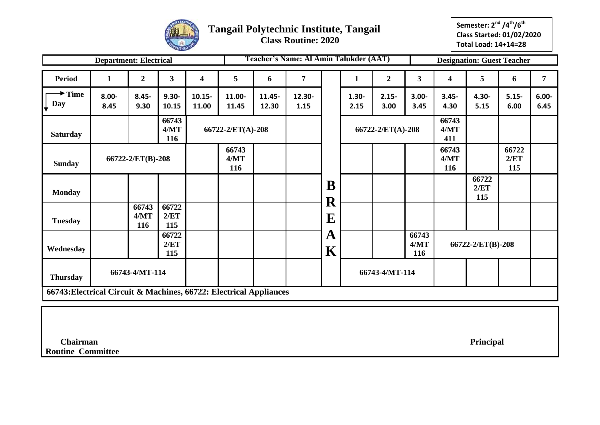

**Semester: 2 nd /4th/6th Class Started: 01/02/2020 Total Load: 14+14=28**

|                                                                    | <b>Department: Electrical</b> |                      |                      |                    |                   |                 | <b>Teacher's Name: Al Amin Talukder (AAT)</b> |                        |                  |                   |                      |                      | <b>Designation: Guest Teacher</b> |                      |                  |
|--------------------------------------------------------------------|-------------------------------|----------------------|----------------------|--------------------|-------------------|-----------------|-----------------------------------------------|------------------------|------------------|-------------------|----------------------|----------------------|-----------------------------------|----------------------|------------------|
| <b>Period</b>                                                      | $\mathbf{1}$                  | $\boldsymbol{2}$     | $\mathbf{3}$         | 4                  | 5                 | 6               | 7                                             |                        | $\mathbf{1}$     | $\boldsymbol{2}$  | 3                    | 4                    | 5                                 | 6                    | 7                |
| $\rightarrow$ Time<br>Day                                          | $8.00 -$<br>8.45              | $8.45 -$<br>9.30     | $9.30 -$<br>10.15    | $10.15 -$<br>11.00 | 11.00-<br>11.45   | 11.45-<br>12.30 | 12.30-<br>1.15                                |                        | $1.30 -$<br>2.15 | $2.15 -$<br>3.00  | $3.00 -$<br>3.45     | $3.45 -$<br>4.30     | $4.30 -$<br>5.15                  | $5.15 -$<br>6.00     | $6.00 -$<br>6.45 |
| <b>Saturday</b>                                                    |                               |                      | 66743<br>4/MT<br>116 |                    | 66722-2/ET(A)-208 |                 |                                               |                        |                  | 66722-2/ET(A)-208 |                      | 66743<br>4/MT<br>411 |                                   |                      |                  |
| <b>Sunday</b>                                                      |                               | 66722-2/ET(B)-208    |                      |                    |                   |                 |                                               |                        |                  |                   |                      | 66743<br>4/MT<br>116 |                                   | 66722<br>2/ET<br>115 |                  |
| <b>Monday</b>                                                      |                               |                      |                      |                    |                   |                 |                                               | B                      |                  |                   |                      |                      | 66722<br>2/ET<br>115              |                      |                  |
| <b>Tuesday</b>                                                     |                               | 66743<br>4/MT<br>116 | 66722<br>2/ET<br>115 |                    |                   |                 |                                               | ${\bf R}$<br>${\bf E}$ |                  |                   |                      |                      |                                   |                      |                  |
| Wednesday                                                          | 66722<br>2/ET<br>115          |                      |                      |                    |                   |                 |                                               | $\mathbf{A}$<br>K      |                  |                   | 66743<br>4/MT<br>116 |                      | 66722-2/ET(B)-208                 |                      |                  |
| <b>Thursday</b>                                                    |                               | 66743-4/MT-114       |                      |                    |                   |                 |                                               | 66743-4/MT-114         |                  |                   |                      |                      |                                   |                      |                  |
| 66743: Electrical Circuit & Machines, 66722: Electrical Appliances |                               |                      |                      |                    |                   |                 |                                               |                        |                  |                   |                      |                      |                                   |                      |                  |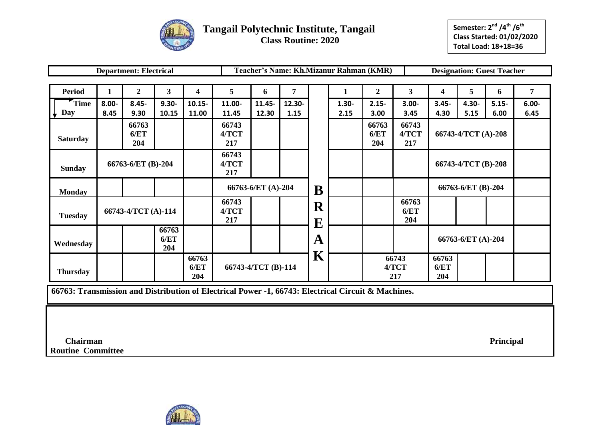

|                 |                      | <b>Department: Electrical</b> |                       |                      |                       |                     |                |   | Teacher's Name: Kh.Mizanur Rahman (KMR) |                      |                       |                      |                     | <b>Designation: Guest Teacher</b> |          |
|-----------------|----------------------|-------------------------------|-----------------------|----------------------|-----------------------|---------------------|----------------|---|-----------------------------------------|----------------------|-----------------------|----------------------|---------------------|-----------------------------------|----------|
|                 |                      |                               |                       |                      |                       |                     |                |   |                                         |                      |                       |                      |                     |                                   |          |
| <b>Period</b>   | $\mathbf{1}$         | $\overline{2}$                | 3                     | 4                    | 5                     | 6                   | $\overline{7}$ |   | 1                                       | $\boldsymbol{2}$     | $3^{\circ}$           | 4                    | 5                   | 6                                 | 7        |
| Time            | $8.00 -$             | $8.45 -$                      | $9.30 -$              | $10.15 -$            | 11.00-                | 11.45-              | 12.30-         |   | $1.30 -$                                | $2.15 -$             | $3.00 -$              | $3.45 -$             | $4.30 -$            | $5.15 -$                          | $6.00 -$ |
| Day             | 8.45                 | 9.30                          | 10.15                 | 11.00                | 11.45                 | 12.30               | 1.15           |   | 2.15                                    | 3.00                 | 3.45                  | 4.30                 | 5.15                | 6.00                              | 6.45     |
| <b>Saturday</b> |                      | 66763<br>6/ET<br>204          |                       |                      | 66743<br>4/TCT<br>217 |                     |                |   |                                         | 66763<br>6/ET<br>204 | 66743<br>4/TCT<br>217 |                      | 66743-4/TCT (A)-208 |                                   |          |
| <b>Sunday</b>   | 66763-6/ET (B)-204   |                               |                       |                      | 66743<br>4/TCT<br>217 |                     |                |   |                                         |                      |                       |                      | 66743-4/TCT (B)-208 |                                   |          |
| <b>Monday</b>   |                      |                               |                       |                      |                       | 66763-6/ET (A)-204  |                |   |                                         |                      |                       |                      | 66763-6/ET (B)-204  |                                   |          |
| <b>Tuesday</b>  | 66743-4/TCT (A)-114  |                               | 66743<br>4/TCT<br>217 |                      |                       | ${\bf R}$<br>E      |                |   | 66763<br>6/ET<br>204                    |                      |                       |                      |                     |                                   |          |
| Wednesday       | 66763<br>6/ET<br>204 |                               |                       |                      |                       | $\mathbf A$         |                |   |                                         |                      | 66763-6/ET (A)-204    |                      |                     |                                   |          |
| <b>Thursday</b> |                      |                               |                       | 66763<br>6/ET<br>204 |                       | 66743-4/TCT (B)-114 |                | K |                                         |                      | 66743<br>4/TCT<br>217 | 66763<br>6/ET<br>204 |                     |                                   |          |

**66763: Transmission and Distribution of Electrical Power -1, 66743: Electrical Circuit & Machines.**

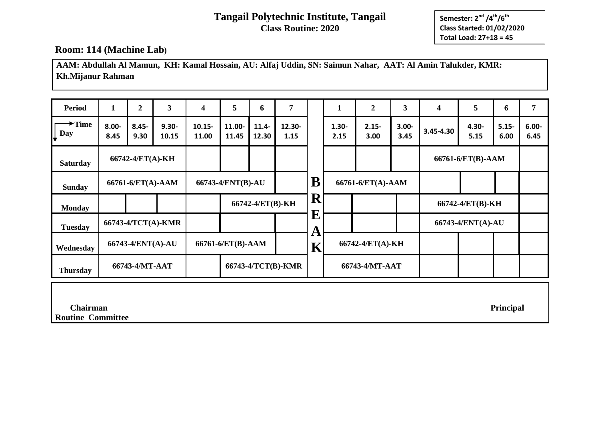**Semester: 2 nd /4th/6th Class Started: 01/02/2020 Total Load: 27+18 = 45**

### **Room: 114 (Machine Lab)**

**AAM: Abdullah Al Mamun, KH: Kamal Hossain, AU: Alfaj Uddin, SN: Saimun Nahar, AAT: Al Amin Talukder, KMR: Kh.Mijanur Rahman**

| <b>Period</b>                          | 1                 | $\overline{2}$    | 3                  | 4                  | 5                | 6                 | 7                  |                | T                | $\boldsymbol{2}$       | 3                | 4         | 5                 | 6                | 7                |
|----------------------------------------|-------------------|-------------------|--------------------|--------------------|------------------|-------------------|--------------------|----------------|------------------|------------------------|------------------|-----------|-------------------|------------------|------------------|
| $\rightarrow$ Time<br>$\downarrow$ Day | $8.00 -$<br>8.45  | $8.45 -$<br>9.30  | $9.30 -$<br>10.15  | $10.15 -$<br>11.00 | 11.00-<br>11.45  | $11.4 -$<br>12.30 | 12.30-<br>1.15     |                | $1.30 -$<br>2.15 | $2.15 -$<br>3.00       | $3.00 -$<br>3.45 | 3.45-4.30 | $4.30 -$<br>5.15  | $5.15 -$<br>6.00 | $6.00 -$<br>6.45 |
| <b>Saturday</b>                        |                   | 66742-4/ET(A)-KH  |                    |                    |                  |                   |                    |                |                  |                        |                  |           | 66761-6/ET(B)-AAM |                  |                  |
| <b>Sunday</b>                          | 66761-6/ET(A)-AAM |                   |                    | 66743-4/ENT(B)-AU  |                  |                   |                    | ${\bf B}$      |                  | 66761-6/ET(A)-AAM      |                  |           |                   |                  |                  |
| <b>Monday</b>                          |                   |                   |                    |                    | 66742-4/ET(B)-KH |                   |                    | $\bf R$        |                  |                        |                  |           | 66742-4/ET(B)-KH  |                  |                  |
| <b>Tuesday</b>                         |                   |                   | 66743-4/TCT(A)-KMR |                    |                  |                   |                    | ${\bf E}$<br>A |                  |                        |                  |           | 66743-4/ENT(A)-AU |                  |                  |
| Wednesday                              |                   | 66743-4/ENT(A)-AU |                    | 66761-6/ET(B)-AAM  |                  |                   |                    | $\mathbf K$    |                  | $66742 - 4/ET(A) - KH$ |                  |           |                   |                  |                  |
| <b>Thursday</b>                        |                   | 66743-4/MT-AAT    |                    |                    |                  |                   | 66743-4/TCT(B)-KMR |                |                  | 66743-4/MT-AAT         |                  |           |                   |                  |                  |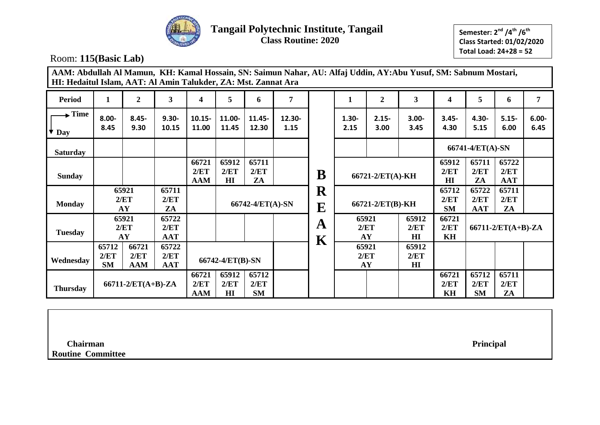

**Semester: 2 nd /4th /6th Class Started: 01/02/2020 Total Load: 24+28 = 52**

Room: **115(Basic Lab)**

| AAM: Abdullah Al Mamun, KH: Kamal Hossain, SN: Saimun Nahar, AU: Alfaj Uddin, AY:Abu Yusuf, SM: Sabnum Mostari,<br>HI: Hedaitul Islam, AAT: Al Amin Talukder, ZA: Mst. Zannat Ara |                                                                                          |                  |                             |                             |                      |                            |                |                                        |                  |                     |                                 |                               |                             |                             |                  |
|-----------------------------------------------------------------------------------------------------------------------------------------------------------------------------------|------------------------------------------------------------------------------------------|------------------|-----------------------------|-----------------------------|----------------------|----------------------------|----------------|----------------------------------------|------------------|---------------------|---------------------------------|-------------------------------|-----------------------------|-----------------------------|------------------|
| <b>Period</b>                                                                                                                                                                     | 1                                                                                        | $\boldsymbol{2}$ | 3                           | 4                           | 5                    | 6                          | 7              |                                        | 1                | $\boldsymbol{2}$    | $\mathbf{3}$                    | 4                             | 5                           | 6                           | 7                |
| $\blacktriangleright$ Time<br>Day                                                                                                                                                 | $8.00 -$<br>8.45                                                                         | $8.45 -$<br>9.30 | $9.30 -$<br>10.15           | $10.15 -$<br>11.00          | 11.00-<br>11.45      | 11.45-<br>12.30            | 12.30-<br>1.15 |                                        | $1.30 -$<br>2.15 | $2.15 -$<br>3.00    | $3.00 -$<br>3.45                | $3.45 -$<br>4.30              | $4.30 -$<br>5.15            | $5.15 -$<br>6.00            | $6.00 -$<br>6.45 |
| <b>Saturday</b>                                                                                                                                                                   |                                                                                          |                  |                             |                             |                      |                            |                |                                        |                  |                     |                                 |                               | 66741-4/ET(A)-SN            |                             |                  |
| <b>Sunday</b>                                                                                                                                                                     |                                                                                          |                  |                             | 66721<br>2/ET<br><b>AAM</b> | 65912<br>2/ET<br>H I | 65711<br>2/ET<br>ZA        |                | B                                      | 66721-2/ET(A)-KH |                     |                                 | 65912<br>2/ET<br>$\mathbf{H}$ | 65711<br>2/ET<br>ZA         | 65722<br>2/ET<br><b>AAT</b> |                  |
| <b>Monday</b>                                                                                                                                                                     | 65921<br>65711<br>2/ET<br>2/ET<br>AY                                                     |                  | ZA                          |                             | 66742-4/ET(A)-SN     |                            |                | $\mathbf R$<br>$\overline{\mathbf{E}}$ |                  | 66721-2/ET(B)-KH    |                                 | 65712<br>2/ET<br><b>SM</b>    | 65722<br>2/ET<br><b>AAT</b> | 65711<br>2/ET<br>ZA         |                  |
| <b>Tuesday</b>                                                                                                                                                                    | 65921<br>2/ET<br>AY                                                                      |                  | 65722<br>2/ET<br><b>AAT</b> |                             |                      |                            |                | A<br>$\mathbf K$                       |                  | 65921<br>2/ET<br>AY | 65912<br>2/ET<br>H I            | 66721<br>2/ET<br>KH           |                             | $66711-2/ET(A+B)-ZA$        |                  |
| Wednesday                                                                                                                                                                         | 66721<br>65712<br>65722<br>2/ET<br>2/ET<br>2/ET<br><b>AAT</b><br><b>SM</b><br><b>AAM</b> |                  |                             |                             | 66742-4/ET(B)-SN     |                            |                |                                        |                  | 65921<br>2/ET<br>AY | 65912<br>2/ET<br>H <sub>I</sub> |                               |                             |                             |                  |
| <b>Thursday</b>                                                                                                                                                                   | $66711-2/ET(A+B)-ZA$                                                                     |                  |                             | 66721<br>2/ET<br>AAM        | 65912<br>2/ET<br>H1  | 65712<br>2/ET<br><b>SM</b> |                |                                        |                  |                     |                                 | 66721<br>2/ET<br>KH           | 65712<br>2/ET<br><b>SM</b>  | 65711<br>2/ET<br>ZA         |                  |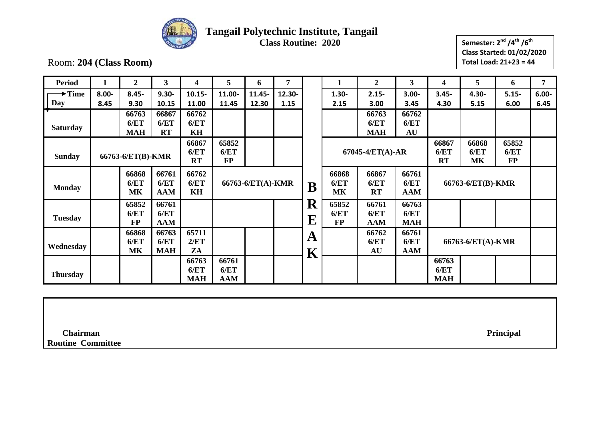

# **Tangail Polytechnic Institute, Tangail**

**Class Routine: 2020**

**Semester: 2 nd /4th /6th Class Started: 01/02/2020 Total Load: 21+23 = 44**

Room: **204 (Class Room)**

| <b>Period</b>      | 1        | $\boldsymbol{2}$  | 3          | 4          | 5          | 6                 | 7      |                         | 1            | $\boldsymbol{2}$ | 3          | 4                 | 5                 | 6         | 7        |
|--------------------|----------|-------------------|------------|------------|------------|-------------------|--------|-------------------------|--------------|------------------|------------|-------------------|-------------------|-----------|----------|
| $\rightarrow$ Time | $8.00 -$ | $8.45 -$          | $9.30 -$   | $10.15 -$  | 11.00-     | 11.45-            | 12.30- |                         | $1.30 -$     | $2.15 -$         | $3.00 -$   | $3.45 -$          | 4.30-             | $5.15 -$  | $6.00 -$ |
| Day                | 8.45     | 9.30              | 10.15      | 11.00      | 11.45      | 12.30             | 1.15   |                         | 2.15         | 3.00             | 3.45       | 4.30              | 5.15              | 6.00      | 6.45     |
|                    |          | 66763             | 66867      | 66762      |            |                   |        |                         |              | 66763            | 66762      |                   |                   |           |          |
| <b>Saturday</b>    |          | 6/ET              | 6/ET       | 6/ET       |            |                   |        |                         |              | 6/ET             | 6/ET       |                   |                   |           |          |
|                    |          | <b>MAH</b>        | RT         | KH         |            |                   |        |                         |              | <b>MAH</b>       | AU         |                   |                   |           |          |
|                    |          |                   |            | 66867      | 65852      |                   |        |                         |              |                  |            | 66867             | 66868             | 65852     |          |
| <b>Sunday</b>      |          | 66763-6/ET(B)-KMR |            | 6/ET       | 6/ET       |                   |        |                         |              | 67045-4/ET(A)-AR |            | 6/ET              | 6/ET              | 6/ET      |          |
|                    |          |                   |            | RT         | $\bf FP$   |                   |        |                         |              |                  |            | RT                | MK                | <b>FP</b> |          |
|                    |          | 66868             | 66761      | 66762      |            |                   |        |                         | 66868        | 66867            | 66761      |                   |                   |           |          |
|                    |          | 6/ET              | 6/ET       | 6/ET       |            | 66763-6/ET(A)-KMR |        | $\bf{B}$                | 6/ET         | 6/ET             | 6/ET       | 66763-6/ET(B)-KMR |                   |           |          |
| <b>Monday</b>      |          | <b>MK</b>         | <b>AAM</b> | KH         |            |                   |        |                         | <b>MK</b>    | RT               | <b>AAM</b> |                   |                   |           |          |
|                    |          | 65852             | 66761      |            |            |                   |        | R                       | 65852        | 66761            | 66763      |                   |                   |           |          |
| <b>Tuesday</b>     |          | 6/ET              | 6/ET       |            |            |                   |        |                         | 6/ET         | 6/ET             | 6/ET       |                   |                   |           |          |
|                    |          | <b>FP</b>         | <b>AAM</b> |            |            |                   |        | $\mathbf E$             | $\bf FP$     | <b>AAM</b>       | <b>MAH</b> |                   |                   |           |          |
|                    |          | 66868             | 66763      | 65711      |            |                   |        |                         |              | 66762            | 66761      |                   |                   |           |          |
| Wednesday          |          | 6/ET              | 6/ET       | 2/ET       |            |                   |        | A                       | 6/ET<br>6/ET |                  |            |                   | 66763-6/ET(A)-KMR |           |          |
|                    |          | <b>MK</b>         | <b>MAH</b> | ZA         |            |                   |        | $\overline{\textbf{K}}$ |              | AU               | <b>AAM</b> |                   |                   |           |          |
|                    |          |                   |            | 66763      | 66761      |                   |        |                         |              |                  |            | 66763             |                   |           |          |
| <b>Thursday</b>    |          |                   |            | 6/ET       | 6/ET       |                   |        |                         |              |                  |            | 6/ET              |                   |           |          |
|                    |          |                   |            | <b>MAH</b> | <b>AAM</b> |                   |        |                         |              |                  |            | <b>MAH</b>        |                   |           |          |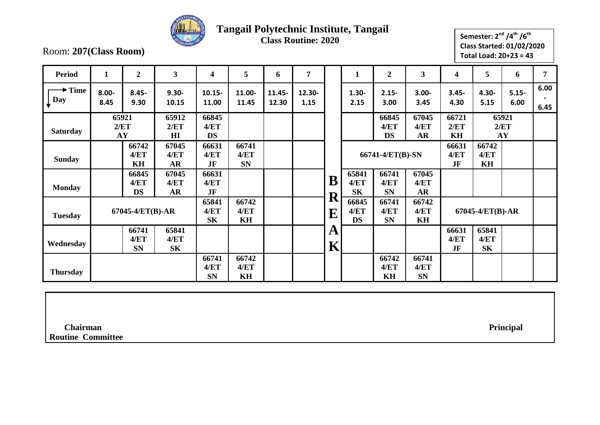

## **Tangail Polytechnic Institute, Tangail**

**Class Routine: 2020**

Room: **207(Class Room)**

| Semester: 2 <sup>nd</sup> /4 <sup>th</sup> /6 <sup>th</sup> |  |
|-------------------------------------------------------------|--|
| <b>Class Started: 01/02/2020</b>                            |  |
| Total Load: $20+23 = 43$                                    |  |
|                                                             |  |

| <b>Period</b>             | $\mathbf{1}$     | $\overline{2}$             | 3                          | 4                          | 5                          | 6               | 7              |                   | $\mathbf{1}$               | $\boldsymbol{2}$           | 3                          | 4                   | 5                          | 6                   | 7            |
|---------------------------|------------------|----------------------------|----------------------------|----------------------------|----------------------------|-----------------|----------------|-------------------|----------------------------|----------------------------|----------------------------|---------------------|----------------------------|---------------------|--------------|
| $\rightarrow$ Time<br>Day | $8.00 -$<br>8.45 | $8.45 -$<br>9.30           | $9.30 -$<br>10.15          | $10.15 -$<br>11.00         | 11.00-<br>11.45            | 11.45-<br>12.30 | 12.30-<br>1.15 |                   | $1.30 -$<br>2.15           | $2.15 -$<br>3.00           | $3.00 -$<br>3.45           | $3.45 -$<br>4.30    | 4.30-<br>5.15              | $5.15 -$<br>6.00    | 6.00<br>6.45 |
| <b>Saturday</b>           | 65921<br>AY      | 2/ET                       | 65912<br>2/ET<br>H I       | 66845<br>4/ET<br><b>DS</b> |                            |                 |                |                   |                            | 66845<br>4/ET<br><b>DS</b> | 67045<br>4/ET<br>AR        | 66721<br>2/ET<br>KH |                            | 65921<br>2/ET<br>AY |              |
| <b>Sunday</b>             |                  | 66742<br>4/ET<br>KH        | 67045<br>4/ET<br><b>AR</b> | 66631<br>4/ET<br>JF        | 66741<br>4/ET<br><b>SN</b> |                 |                |                   |                            | 66741-4/ET(B)-SN           |                            | 66631<br>4/ET<br>JF | 66742<br>4/ET<br>KH        |                     |              |
| <b>Monday</b>             |                  | 66845<br>4/ET<br><b>DS</b> | 67045<br>4/ET<br>AR        | 66631<br>4/ET<br>JF        |                            |                 |                | B                 | 65841<br>4/ET<br><b>SK</b> | 66741<br>4/ET<br><b>SN</b> | 67045<br>4/ET<br><b>AR</b> |                     |                            |                     |              |
| <b>Tuesday</b>            |                  | 67045-4/ET(B)-AR           |                            | 65841<br>4/ET<br><b>SK</b> | 66742<br>4/ET<br>KH        |                 |                | R<br>${\bf E}$    | 66845<br>4/ET<br><b>DS</b> | 66741<br>4/ET<br><b>SN</b> | 66742<br>4/ET<br>KH        |                     | 67045-4/ET(B)-AR           |                     |              |
| Wednesday                 |                  | 66741<br>4/ET<br><b>SN</b> | 65841<br>4/ET<br><b>SK</b> |                            |                            |                 |                | A<br>$\mathbf{K}$ |                            |                            |                            | 66631<br>4/ET<br>JF | 65841<br>4/ET<br><b>SK</b> |                     |              |
| <b>Thursday</b>           |                  |                            |                            | 66741<br>4/ET<br><b>SN</b> | 66742<br>4/ET<br>KH        |                 |                |                   |                            | 66742<br>4/ET<br>KH        | 66741<br>4/ET<br><b>SN</b> |                     |                            |                     |              |